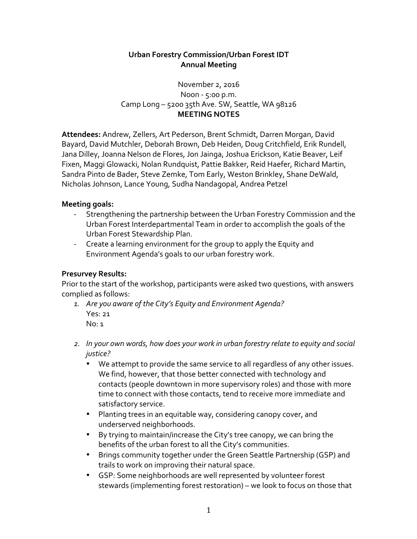## **Urban Forestry Commission/Urban Forest IDT Annual Meeting**

### November 2, 2016  $N$ oon -  $5:00$  p.m. Camp Long – 5200 35th Ave. SW, Seattle, WA 98126 **MEETING NOTES**

Attendees: Andrew, Zellers, Art Pederson, Brent Schmidt, Darren Morgan, David Bayard, David Mutchler, Deborah Brown, Deb Heiden, Doug Critchfield, Erik Rundell, Jana Dilley, Joanna Nelson de Flores, Jon Jainga, Joshua Erickson, Katie Beaver, Leif Fixen, Maggi Glowacki, Nolan Rundquist, Pattie Bakker, Reid Haefer, Richard Martin, Sandra Pinto de Bader, Steve Zemke, Tom Early, Weston Brinkley, Shane DeWald, Nicholas Johnson, Lance Young, Sudha Nandagopal, Andrea Petzel

### **Meeting goals:**

- Strengthening the partnership between the Urban Forestry Commission and the Urban Forest Interdepartmental Team in order to accomplish the goals of the Urban Forest Stewardship Plan.
- Create a learning environment for the group to apply the Equity and Environment Agenda's goals to our urban forestry work.

### **Presurvey Results:**

Prior to the start of the workshop, participants were asked two questions, with answers complied as follows:

- 1. Are you aware of the City's Equity and Environment Agenda? Yes: 21  $No:1$
- 2. In your own words, how does your work in urban forestry relate to equity and social *justice?*
	- We attempt to provide the same service to all regardless of any other issues. We find, however, that those better connected with technology and contacts (people downtown in more supervisory roles) and those with more time to connect with those contacts, tend to receive more immediate and satisfactory service.
	- Planting trees in an equitable way, considering canopy cover, and underserved neighborhoods.
	- By trying to maintain/increase the City's tree canopy, we can bring the benefits of the urban forest to all the City's communities.
	- Brings community together under the Green Seattle Partnership (GSP) and trails to work on improving their natural space.
	- GSP: Some neighborhoods are well represented by volunteer forest stewards (implementing forest restoration) – we look to focus on those that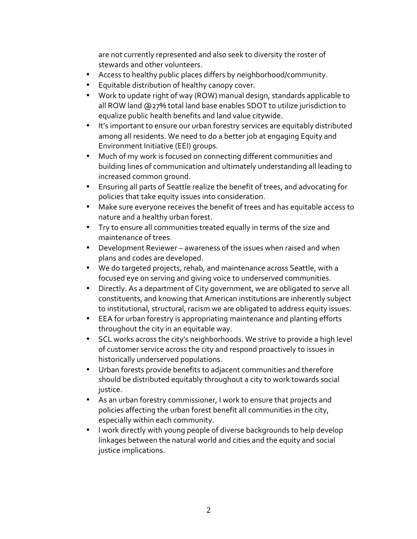are not currently represented and also seek to diversity the roster of stewards and other volunteers.

- Access to healthy public places differs by neighborhood/community.
- Equitable distribution of healthy canopy cover.
- Work to update right of way (ROW) manual design, standards applicable to all ROW land @27% total land base enables SDOT to utilize jurisdiction to equalize public health benefits and land value citywide.
- It's important to ensure our urban forestry services are equitably distributed among all residents. We need to do a better job at engaging Equity and Environment Initiative (EEI) groups.
- Much of my work is focused on connecting different communities and building lines of communication and ultimately understanding all leading to increased common ground.
- Ensuring all parts of Seattle realize the benefit of trees, and advocating for policies that take equity issues into consideration.
- Make sure everyone receives the benefit of trees and has equitable access to nature and a healthy urban forest.
- Try to ensure all communities treated equally in terms of the size and maintenance of trees.
- Development Reviewer awareness of the issues when raised and when plans and codes are developed.
- We do targeted projects, rehab, and maintenance across Seattle, with a focused eye on serving and giving voice to underserved communities.
- Directly. As a department of City government, we are obligated to serve all constituents, and knowing that American institutions are inherently subject to institutional, structural, racism we are obligated to address equity issues.
- EEA for urban forestry is appropriating maintenance and planting efforts throughout the city in an equitable way.
- SCL works across the city's neighborhoods. We strive to provide a high level of customer service across the city and respond proactively to issues in historically underserved populations.
- Urban forests provide benefits to adjacent communities and therefore should be distributed equitably throughout a city to work towards social justice.
- As an urban forestry commissioner, I work to ensure that projects and policies affecting the urban forest benefit all communities in the city, especially within each community.
- I work directly with young people of diverse backgrounds to help develop linkages between the natural world and cities and the equity and social justice implications.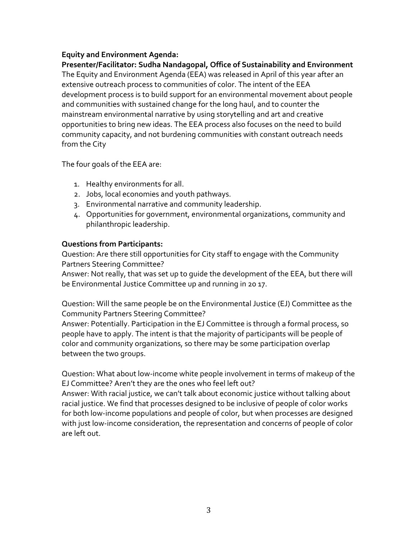### **Equity and Environment Agenda:**

Presenter/Facilitator: Sudha Nandagopal, Office of Sustainability and Environment The Equity and Environment Agenda (EEA) was released in April of this year after an extensive outreach process to communities of color. The intent of the EEA development process is to build support for an environmental movement about people and communities with sustained change for the long haul, and to counter the mainstream environmental narrative by using storytelling and art and creative opportunities to bring new ideas. The EEA process also focuses on the need to build community capacity, and not burdening communities with constant outreach needs from the City

The four goals of the EEA are:

- 1. Healthy environments for all.
- 2. Jobs, local economies and youth pathways.
- 3. Environmental narrative and community leadership.
- 4. Opportunities for government, environmental organizations, community and philanthropic leadership.

### **Questions from Participants:**

Question: Are there still opportunities for City staff to engage with the Community Partners Steering Committee?

Answer: Not really, that was set up to quide the development of the EEA, but there will be Environmental Justice Committee up and running in 20 17.

Question: Will the same people be on the Environmental Justice (EJ) Committee as the Community Partners Steering Committee?

Answer: Potentially. Participation in the EJ Committee is through a formal process, so people have to apply. The intent is that the majority of participants will be people of color and community organizations, so there may be some participation overlap between the two groups.

Question: What about low-income white people involvement in terms of makeup of the EJ Committee? Aren't they are the ones who feel left out?

Answer: With racial justice, we can't talk about economic justice without talking about racial justice. We find that processes designed to be inclusive of people of color works for both low-income populations and people of color, but when processes are designed with just low-income consideration, the representation and concerns of people of color are left out.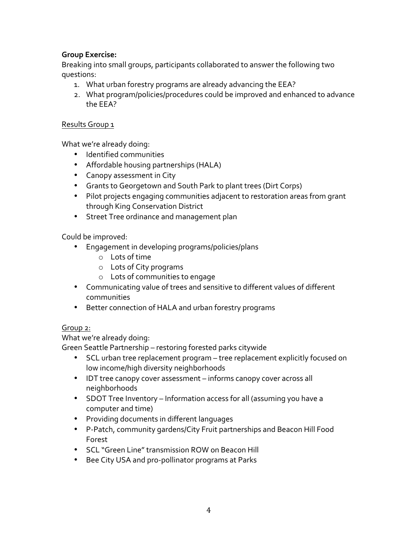## **Group Exercise:**

Breaking into small groups, participants collaborated to answer the following two questions: 

- 1. What urban forestry programs are already advancing the EEA?
- 2. What program/policies/procedures could be improved and enhanced to advance the EEA?

#### Results Group 1

What we're already doing:

- Identified communities
- Affordable housing partnerships (HALA)
- Canopy assessment in City
- Grants to Georgetown and South Park to plant trees (Dirt Corps)
- Pilot projects engaging communities adjacent to restoration areas from grant through King Conservation District
- Street Tree ordinance and management plan

Could be improved:

- Engagement in developing programs/policies/plans
	- $\circ$  Lots of time
	- o Lots of City programs
	- o Lots of communities to engage
- Communicating value of trees and sensitive to different values of different communities
- Better connection of HALA and urban forestry programs

### Group 2:

What we're already doing:

Green Seattle Partnership – restoring forested parks citywide

- SCL urban tree replacement program tree replacement explicitly focused on low income/high diversity neighborhoods
- IDT tree canopy cover assessment informs canopy cover across all neighborhoods
- SDOT Tree Inventory Information access for all (assuming you have a computer and time)
- Providing documents in different languages
- P-Patch, community gardens/City Fruit partnerships and Beacon Hill Food Forest
- SCL "Green Line" transmission ROW on Beacon Hill
- Bee City USA and pro-pollinator programs at Parks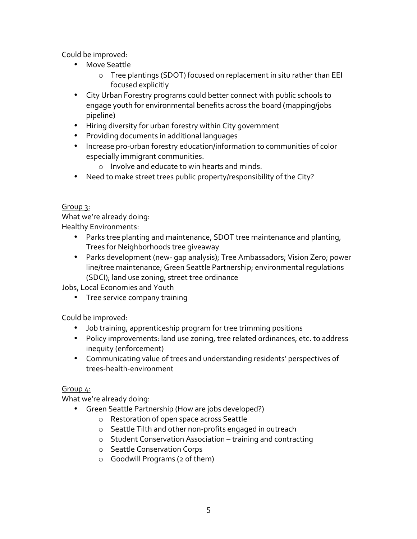Could be improved:

- Move Seattle
	- o Tree plantings (SDOT) focused on replacement in situ rather than EEI focused explicitly
- City Urban Forestry programs could better connect with public schools to engage youth for environmental benefits across the board (mapping/jobs pipeline)
- Hiring diversity for urban forestry within City government
- Providing documents in additional languages
- Increase pro-urban forestry education/information to communities of color especially immigrant communities.
	- $\circ$  Involve and educate to win hearts and minds.
- Need to make street trees public property/responsibility of the City?

### Group 3:

What we're already doing: Healthy Environments:

- Parks tree planting and maintenance, SDOT tree maintenance and planting, Trees for Neighborhoods tree giveaway
- Parks development (new- gap analysis); Tree Ambassadors; Vision Zero; power line/tree maintenance; Green Seattle Partnership; environmental regulations (SDCI); land use zoning; street tree ordinance

Jobs, Local Economies and Youth

• Tree service company training

Could be improved:

- Job training, apprenticeship program for tree trimming positions
- Policy improvements: land use zoning, tree related ordinances, etc. to address inequity (enforcement)
- Communicating value of trees and understanding residents' perspectives of trees-health-environment

# Group 4:

What we're already doing:

- Green Seattle Partnership (How are jobs developed?)
	- o Restoration of open space across Seattle
	- $\circ$  Seattle Tilth and other non-profits engaged in outreach
	- $\circ$  Student Conservation Association training and contracting
	- o Seattle Conservation Corps
	- $\circ$  Goodwill Programs (2 of them)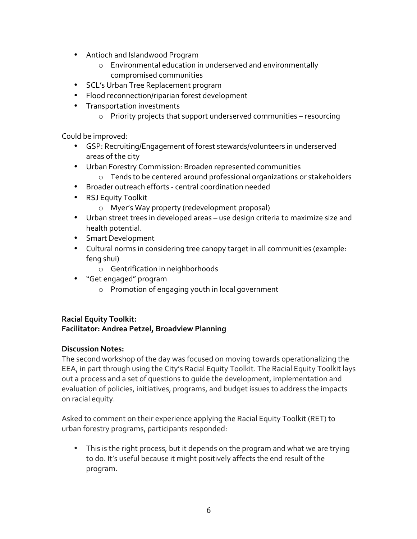- Antioch and Islandwood Program
	- o Environmental education in underserved and environmentally compromised communities
- SCL's Urban Tree Replacement program
- Flood reconnection/riparian forest development
- Transportation investments
	- $\circ$  Priority projects that support underserved communities resourcing

Could be improved:

- GSP: Recruiting/Engagement of forest stewards/volunteers in underserved areas of the city
- Urban Forestry Commission: Broaden represented communities
	- o Tends to be centered around professional organizations or stakeholders
- Broader outreach efforts central coordination needed
- RSJ Equity Toolkit
	- o Myer's Way property (redevelopment proposal)
- Urban street trees in developed areas use design criteria to maximize size and health potential.
- Smart Development
- Cultural norms in considering tree canopy target in all communities (example: feng shui)
	- $\circ$  Gentrification in neighborhoods
- "Get engaged" program
	- $\circ$  Promotion of engaging youth in local government

#### **Racial Equity Toolkit: Facilitator: Andrea Petzel, Broadview Planning**

#### **Discussion Notes:**

The second workshop of the day was focused on moving towards operationalizing the EEA, in part through using the City's Racial Equity Toolkit. The Racial Equity Toolkit lays out a process and a set of questions to quide the development, implementation and evaluation of policies, initiatives, programs, and budget issues to address the impacts on racial equity.

Asked to comment on their experience applying the Racial Equity Toolkit (RET) to urban forestry programs, participants responded:

• This is the right process, but it depends on the program and what we are trying to do. It's useful because it might positively affects the end result of the program.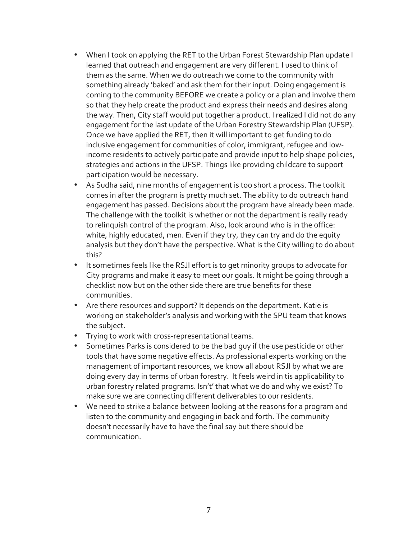- When I took on applying the RET to the Urban Forest Stewardship Plan update I learned that outreach and engagement are very different. I used to think of them as the same. When we do outreach we come to the community with something already 'baked' and ask them for their input. Doing engagement is coming to the community BEFORE we create a policy or a plan and involve them so that they help create the product and express their needs and desires along the way. Then, City staff would put together a product. I realized I did not do any engagement for the last update of the Urban Forestry Stewardship Plan (UFSP). Once we have applied the RET, then it will important to get funding to do inclusive engagement for communities of color, immigrant, refugee and lowincome residents to actively participate and provide input to help shape policies, strategies and actions in the UFSP. Things like providing childcare to support participation would be necessary.
- As Sudha said, nine months of engagement is too short a process. The toolkit comes in after the program is pretty much set. The ability to do outreach hand engagement has passed. Decisions about the program have already been made. The challenge with the toolkit is whether or not the department is really ready to relinguish control of the program. Also, look around who is in the office: white, highly educated, men. Even if they try, they can try and do the equity analysis but they don't have the perspective. What is the City willing to do about this?
- It sometimes feels like the RSJI effort is to get minority groups to advocate for City programs and make it easy to meet our goals. It might be going through a checklist now but on the other side there are true benefits for these communities.
- Are there resources and support? It depends on the department. Katie is working on stakeholder's analysis and working with the SPU team that knows the subject.
- Trying to work with cross-representational teams.
- Sometimes Parks is considered to be the bad guy if the use pesticide or other tools that have some negative effects. As professional experts working on the management of important resources, we know all about RSJI by what we are doing every day in terms of urban forestry. It feels weird in tis applicability to urban forestry related programs. Isn't' that what we do and why we exist? To make sure we are connecting different deliverables to our residents.
- We need to strike a balance between looking at the reasons for a program and listen to the community and engaging in back and forth. The community doesn't necessarily have to have the final say but there should be communication.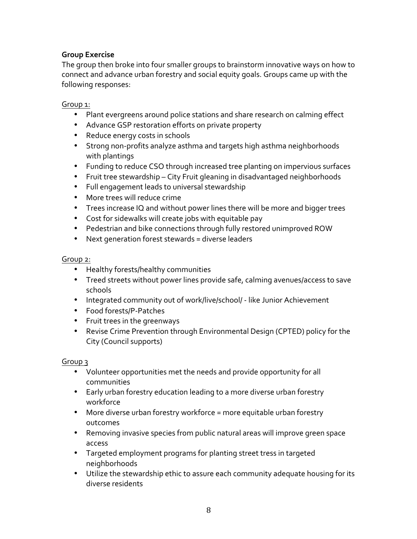### **Group Exercise**

The group then broke into four smaller groups to brainstorm innovative ways on how to connect and advance urban forestry and social equity goals. Groups came up with the following responses:

#### Group 1:

- Plant evergreens around police stations and share research on calming effect
- Advance GSP restoration efforts on private property
- Reduce energy costs in schools
- Strong non-profits analyze asthma and targets high asthma neighborhoods with plantings
- Funding to reduce CSO through increased tree planting on impervious surfaces
- Fruit tree stewardship City Fruit gleaning in disadvantaged neighborhoods
- Full engagement leads to universal stewardship
- More trees will reduce crime
- Trees increase IQ and without power lines there will be more and bigger trees
- Cost for sidewalks will create jobs with equitable pay
- Pedestrian and bike connections through fully restored unimproved ROW
- Next generation forest stewards = diverse leaders

#### Group 2:

- Healthy forests/healthy communities
- Treed streets without power lines provide safe, calming avenues/access to save schools
- Integrated community out of work/live/school/ like Junior Achievement
- Food forests/P-Patches
- Fruit trees in the greenways
- Revise Crime Prevention through Environmental Design (CPTED) policy for the City (Council supports)

#### Group 3

- Volunteer opportunities met the needs and provide opportunity for all communities
- Early urban forestry education leading to a more diverse urban forestry workforce
- More diverse urban forestry workforce = more equitable urban forestry outcomes
- Removing invasive species from public natural areas will improve green space access
- Targeted employment programs for planting street tress in targeted neighborhoods
- Utilize the stewardship ethic to assure each community adequate housing for its diverse residents